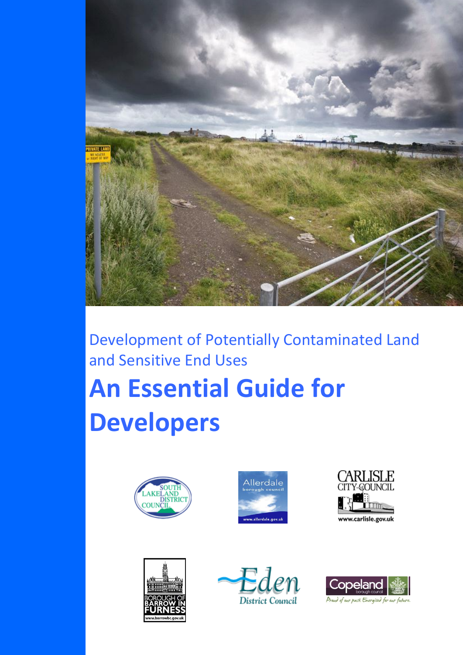

# Development of Potentially Contaminated Land and Sensitive End Uses **An Essential Guide for Developers**











Proud of our past. Energised for our future.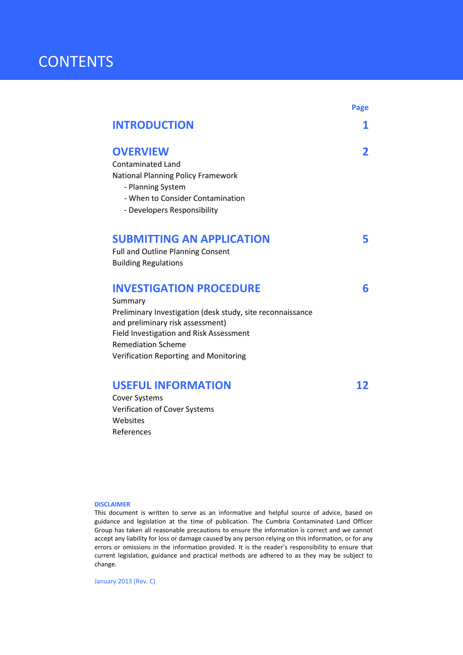### **CONTENTS**

|                                                                                                | Page |
|------------------------------------------------------------------------------------------------|------|
| <b>INTRODUCTION</b>                                                                            | 1    |
| <b>OVERVIEW</b>                                                                                | 2    |
| <b>Contaminated Land</b>                                                                       |      |
| <b>National Planning Policy Framework</b>                                                      |      |
| - Planning System                                                                              |      |
| - When to Consider Contamination                                                               |      |
| - Developers Responsibility                                                                    |      |
| <b>SUBMITTING AN APPLICATION</b>                                                               | 5    |
| <b>Full and Outline Planning Consent</b>                                                       |      |
| <b>Building Regulations</b>                                                                    |      |
| <b>INVESTIGATION PROCEDURE</b>                                                                 | 6    |
| Summary                                                                                        |      |
| Preliminary Investigation (desk study, site reconnaissance<br>and preliminary risk assessment) |      |
| Field Investigation and Risk Assessment                                                        |      |
| <b>Remediation Scheme</b>                                                                      |      |
| Verification Reporting and Monitoring                                                          |      |
| <b>USEFUL INFORMATION</b>                                                                      |      |
| <b>Cover Systems</b>                                                                           |      |
| Verification of Cover Systems                                                                  |      |
|                                                                                                |      |

#### **DISCLAIMER**

Websites References

This document is written to serve as an informative and helpful source of advice, based on guidance and legislation at the time of publication. The Cumbria Contaminated Land Officer Group has taken all reasonable precautions to ensure the information is correct and we cannot accept any liability for loss or damage caused by any person relying on this information, or for any errors or omissions in the information provided. It is the reader's responsibility to ensure that current legislation, guidance and practical methods are adhered to as they may be subject to change.

January 2013 (Rev. C)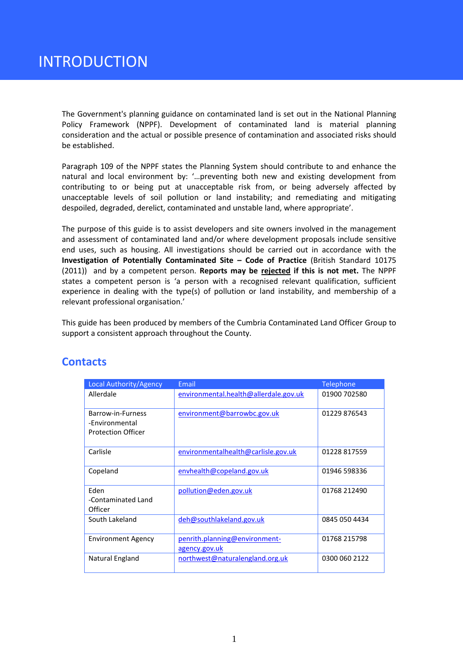The Government's planning guidance on contaminated land is set out in the National Planning Policy Framework (NPPF). Development of contaminated land is material planning consideration and the actual or possible presence of contamination and associated risks should be established.

Paragraph 109 of the NPPF states the Planning System should contribute to and enhance the natural and local environment by: '…preventing both new and existing development from contributing to or being put at unacceptable risk from, or being adversely affected by unacceptable levels of soil pollution or land instability; and remediating and mitigating despoiled, degraded, derelict, contaminated and unstable land, where appropriate'.

The purpose of this guide is to assist developers and site owners involved in the management and assessment of contaminated land and/or where development proposals include sensitive end uses, such as housing. All investigations should be carried out in accordance with the **Investigation of Potentially Contaminated Site – Code of Practice** (British Standard 10175 (2011)) and by a competent person. **Reports may be rejected if this is not met.** The NPPF states a competent person is 'a person with a recognised relevant qualification, sufficient experience in dealing with the type(s) of pollution or land instability, and membership of a relevant professional organisation.'

This guide has been produced by members of the Cumbria Contaminated Land Officer Group to support a consistent approach throughout the County.

| Local Authority/Agency                                           | Email                                          | <b>Telephone</b> |
|------------------------------------------------------------------|------------------------------------------------|------------------|
| Allerdale                                                        | environmental.health@allerdale.gov.uk          | 01900 702580     |
| Barrow-in-Furness<br>-Fnvironmental<br><b>Protection Officer</b> | environment@barrowbc.gov.uk                    | 01229 876543     |
| Carlisle                                                         | environmentalhealth@carlisle.gov.uk            | 01228 817559     |
| Copeland                                                         | envhealth@copeland.gov.uk                      | 01946 598336     |
| Eden<br>-Contaminated Land<br>Officer                            | pollution@eden.gov.uk                          | 01768 212490     |
| South Lakeland                                                   | deh@southlakeland.gov.uk                       | 0845 050 4434    |
| <b>Environment Agency</b>                                        | penrith.planning@environment-<br>agency.gov.uk | 01768 215798     |
| Natural England                                                  | northwest@naturalengland.org.uk                | 0300 060 2122    |

### **Contacts**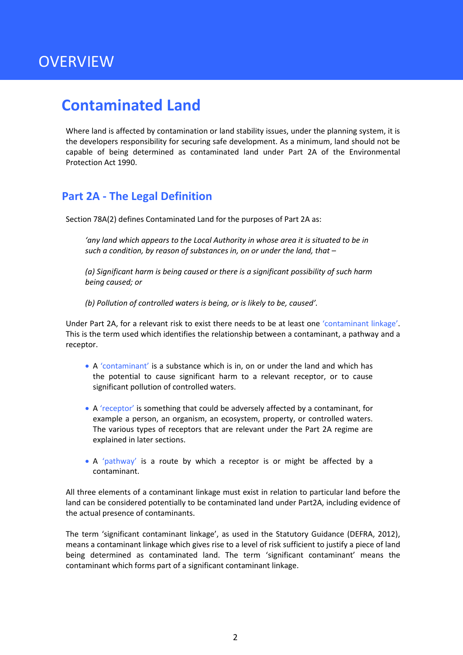# **OVERVIEW**

### **Contaminated Land**

Where land is affected by contamination or land stability issues, under the planning system, it is the developers responsibility for securing safe development. As a minimum, land should not be capable of being determined as contaminated land under Part 2A of the Environmental Protection Act 1990.

### **Part 2A - The Legal Definition**

Section 78A(2) defines Contaminated Land for the purposes of Part 2A as:

*'any land which appears to the Local Authority in whose area it is situated to be in such a condition, by reason of substances in, on or under the land, that –*

*(a) Significant harm is being caused or there is a significant possibility of such harm being caused; or* 

*(b) Pollution of controlled waters is being, or is likely to be, caused'.* 

Under Part 2A, for a relevant risk to exist there needs to be at least one 'contaminant linkage'. This is the term used which identifies the relationship between a contaminant, a pathway and a receptor.

- A 'contaminant' is a substance which is in, on or under the land and which has the potential to cause significant harm to a relevant receptor, or to cause significant pollution of controlled waters.
- A 'receptor' is something that could be adversely affected by a contaminant, for example a person, an organism, an ecosystem, property, or controlled waters. The various types of receptors that are relevant under the Part 2A regime are explained in later sections.
- A 'pathway' is a route by which a receptor is or might be affected by a contaminant.

All three elements of a contaminant linkage must exist in relation to particular land before the land can be considered potentially to be contaminated land under Part2A, including evidence of the actual presence of contaminants.

The term 'significant contaminant linkage', as used in the Statutory Guidance (DEFRA, 2012), means a contaminant linkage which gives rise to a level of risk sufficient to justify a piece of land being determined as contaminated land. The term 'significant contaminant' means the contaminant which forms part of a significant contaminant linkage.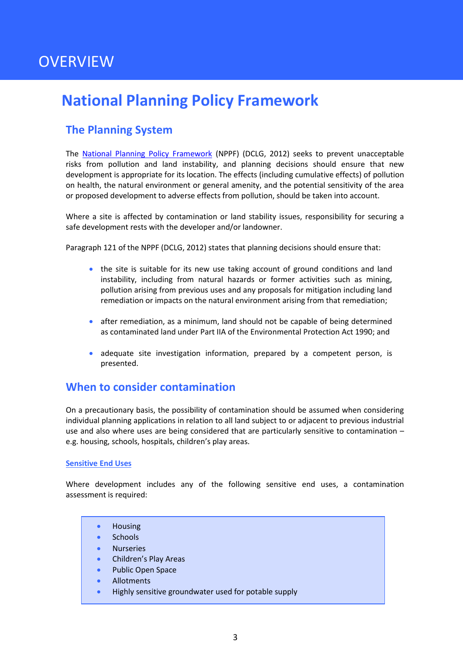# **OVERVIEW**

# **National Planning Policy Framework**

### **The Planning System**

The [National Planning Policy Framework](http://www.communities.gov.uk/documents/planningandbuilding/pdf/2116950.pdf) (NPPF) (DCLG, 2012) seeks to prevent unacceptable risks from pollution and land instability, and planning decisions should ensure that new development is appropriate for its location. The effects (including cumulative effects) of pollution on health, the natural environment or general amenity, and the potential sensitivity of the area or proposed development to adverse effects from pollution, should be taken into account.

Where a site is affected by contamination or land stability issues, responsibility for securing a safe development rests with the developer and/or landowner.

Paragraph 121 of the NPPF (DCLG, 2012) states that planning decisions should ensure that:

- the site is suitable for its new use taking account of ground conditions and land instability, including from natural hazards or former activities such as mining, pollution arising from previous uses and any proposals for mitigation including land remediation or impacts on the natural environment arising from that remediation;
- after remediation, as a minimum, land should not be capable of being determined as contaminated land under Part IIA of the Environmental Protection Act 1990; and
- adequate site investigation information, prepared by a competent person, is presented.

### **When to consider contamination**

On a precautionary basis, the possibility of contamination should be assumed when considering individual planning applications in relation to all land subject to or adjacent to previous industrial use and also where uses are being considered that are particularly sensitive to contamination – e.g. housing, schools, hospitals, children's play areas.

#### <span id="page-4-0"></span>**Sensitive End Uses**

Where development includes any of the following sensitive end uses, a contamination assessment is required:

- Housing
- **Schools**
- Nurseries
- Children's Play Areas
- Public Open Space
- Allotments
- Highly sensitive groundwater used for potable supply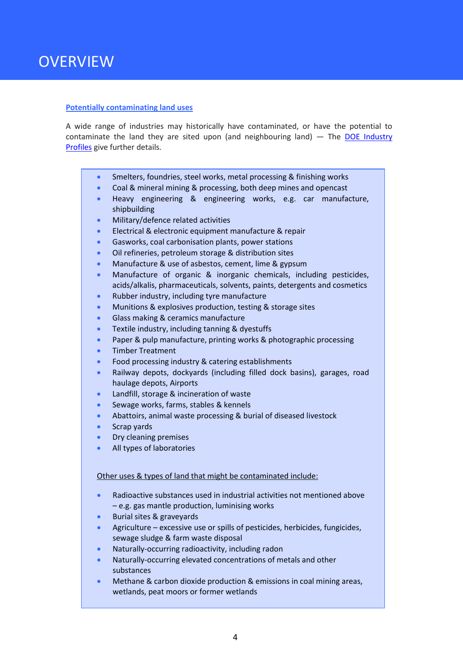#### **Potentially contaminating land uses**

A wide range of industries may historically have contaminated, or have the potential to contaminate the land they are sited upon (and neighbouring land)  $-$  The DOE Industry [Profiles](http://www.environment-agency.gov.uk/research/planning/33708.aspx) give further details.

- Smelters, foundries, steel works, metal processing & finishing works
- Coal & mineral mining & processing, both deep mines and opencast
- Heavy engineering & engineering works, e.g. car manufacture, shipbuilding
- Military/defence related activities
- Electrical & electronic equipment manufacture & repair
- **Gasworks, coal carbonisation plants, power stations**
- Oil refineries, petroleum storage & distribution sites
- Manufacture & use of asbestos, cement, lime & gypsum
- Manufacture of organic & inorganic chemicals, including pesticides, acids/alkalis, pharmaceuticals, solvents, paints, detergents and cosmetics
- Rubber industry, including tyre manufacture
- **Munitions & explosives production, testing & storage sites**
- **Glass making & ceramics manufacture**
- **•** Textile industry, including tanning & dyestuffs
- Paper & pulp manufacture, printing works & photographic processing
- **•** Timber Treatment
- Food processing industry & catering establishments
- Railway depots, dockyards (including filled dock basins), garages, road haulage depots, Airports
- **Landfill, storage & incineration of waste**
- **Sewage works, farms, stables & kennels**
- Abattoirs, animal waste processing & burial of diseased livestock
- Scrap yards
- Dry cleaning premises
- All types of laboratories

#### Other uses & types of land that might be contaminated include:

- Radioactive substances used in industrial activities not mentioned above – e.g. gas mantle production, luminising works
- **Burial sites & graveyards**
- Agriculture excessive use or spills of pesticides, herbicides, fungicides, sewage sludge & farm waste disposal
- Naturally-occurring radioactivity, including radon
- Naturally-occurring elevated concentrations of metals and other substances
- Methane & carbon dioxide production & emissions in coal mining areas, wetlands, peat moors or former wetlands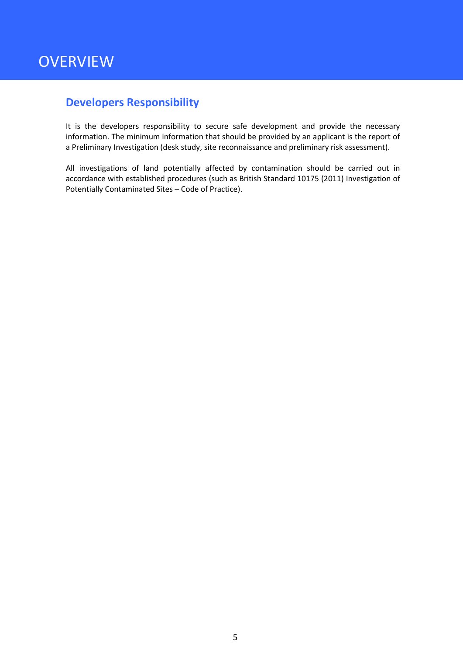### <span id="page-6-0"></span>**Developers Responsibility**

It is the developers responsibility to secure safe development and provide the necessary information. The minimum information that should be provided by an applicant is the report of a Preliminary Investigation (desk study, site reconnaissance and preliminary risk assessment).

All investigations of land potentially affected by contamination should be carried out in accordance with established procedures (such as British Standard 10175 (2011) Investigation of Potentially Contaminated Sites – Code of Practice).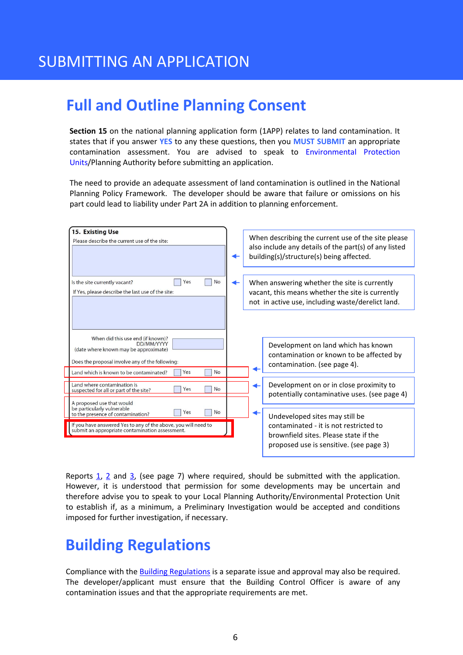# **Full and Outline Planning Consent**

**Section 15** on the national planning application form (1APP) relates to land contamination. It states that if you answer **YES** to any these questions, then you **MUST SUBMIT** an appropriate contamination assessment. You are advised to speak to [Environmental Protection](#page-15-0)  [Units/](#page-15-0)Planning Authority before submitting an application.

The need to provide an adequate assessment of land contamination is outlined in the National Planning Policy Framework. The developer should be aware that failure or omissions on his part could lead to liability under Part 2A in addition to planning enforcement.

| 15. Existing Use<br>Please describe the current use of the site:                                                                                                                                           | When describing the current use of the site please<br>also include any details of the part(s) of any listed<br>building(s)/structure(s) being affected.      |
|------------------------------------------------------------------------------------------------------------------------------------------------------------------------------------------------------------|--------------------------------------------------------------------------------------------------------------------------------------------------------------|
| No<br>Yes<br>Is the site currently vacant?<br>If Yes, please describe the last use of the site:                                                                                                            | When answering whether the site is currently<br>vacant, this means whether the site is currently<br>not in active use, including waste/derelict land.        |
| When did this use end (if known)?<br>DD/MM/YYYY<br>(date where known may be approximate)<br>Does the proposal involve any of the following:<br>Yes<br><b>No</b><br>Land which is known to be contaminated? | Development on land which has known<br>contamination or known to be affected by<br>contamination. (see page 4).                                              |
| Land where contamination is<br>No<br>Yes<br>suspected for all or part of the site?<br>A proposed use that would                                                                                            | Development on or in close proximity to<br>potentially contaminative uses. (see page 4)                                                                      |
| be particularly vulnerable<br>No<br>Yes<br>to the presence of contamination?<br>If you have answered Yes to any of the above, you will need to<br>submit an appropriate contamination assessment.          | Undeveloped sites may still be<br>contaminated - it is not restricted to<br>brownfield sites. Please state if the<br>proposed use is sensitive. (see page 3) |

Reports  $1, 2$  and  $3$ , (see page 7) where required, should be submitted with the application. However, it is understood that permission for some developments may be uncertain and therefore advise you to speak to your Local Planning Authority/Environmental Protection Unit to establish if, as a minimum, a Preliminary Investigation would be accepted and conditions imposed for further investigation, if necessary.

# **Building Regulations**

Compliance with the [Building Regulations](http://www.planningportal.gov.uk/uploads/br/BR_PDFs_ADC_2004.pdf) is a separate issue and approval may also be required. The developer/applicant must ensure that the Building Control Officer is aware of any contamination issues and that the appropriate requirements are met.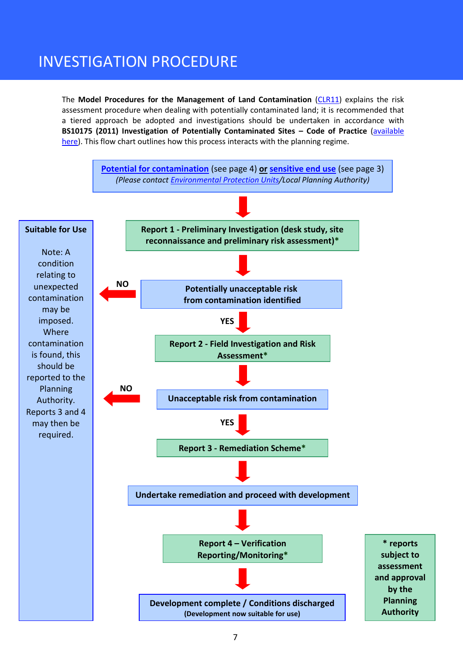# INVESTIGATION PROCEDURE

The **Model Procedures for the Management of Land Contamination** [\(CLR11\)](http://publications.environment-agency.gov.uk/pdf/SCHO0804BIBR-e-e.pdf) explains the risk assessment procedure when dealing with potentially contaminated land; it is recommended that a tiered approach be adopted and investigations should be undertaken in accordance with **BS10175 (2011) Investigation of Potentially Contaminated Sites – Code of Practice** [\(available](http://shop.bsigroup.com/en/ProductDetail/?pid=000000000030205349)  [here\)](http://shop.bsigroup.com/en/ProductDetail/?pid=000000000030205349). This flow chart outlines how this process interacts with the planning regime.

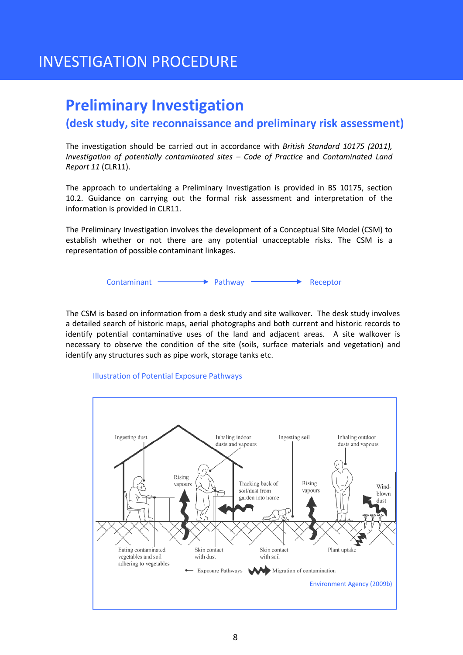## INVESTIGATION PROCEDURE

### <span id="page-9-0"></span>**Preliminary Investigation**

### **(desk study, site reconnaissance and preliminary risk assessment)**

The investigation should be carried out in accordance with *British Standard 10175 (2011), Investigation of potentially contaminated sites – Code of Practice* and *Contaminated Land Report 11* (CLR11).

The approach to undertaking a Preliminary Investigation is provided in BS 10175, section 10.2. Guidance on carrying out the formal risk assessment and interpretation of the information is provided in CLR11.

The Preliminary Investigation involves the development of a Conceptual Site Model (CSM) to establish whether or not there are any potential unacceptable risks. The CSM is a representation of possible contaminant linkages.

Contaminant **Internal Pathway Acceptor** Receptor

The CSM is based on information from a desk study and site walkover. The desk study involves a detailed search of historic maps, aerial photographs and both current and historic records to identify potential contaminative uses of the land and adjacent areas. A site walkover is necessary to observe the condition of the site (soils, surface materials and vegetation) and identify any structures such as pipe work, storage tanks etc.

#### Illustration of Potential Exposure Pathways

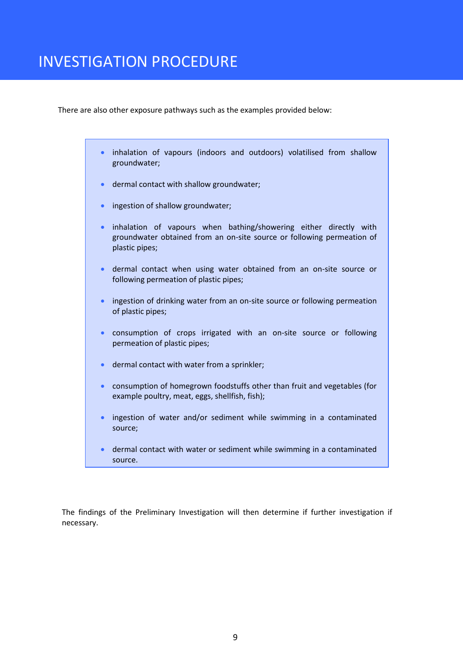There are also other exposure pathways such as the examples provided below:

- inhalation of vapours (indoors and outdoors) volatilised from shallow groundwater;
- dermal contact with shallow groundwater;
- **•** ingestion of shallow groundwater;
- inhalation of vapours when bathing/showering either directly with groundwater obtained from an on-site source or following permeation of plastic pipes;
- dermal contact when using water obtained from an on-site source or following permeation of plastic pipes;
- **•** ingestion of drinking water from an on-site source or following permeation of plastic pipes;
- consumption of crops irrigated with an on-site source or following permeation of plastic pipes;
- dermal contact with water from a sprinkler;
- consumption of homegrown foodstuffs other than fruit and vegetables (for example poultry, meat, eggs, shellfish, fish);
- ingestion of water and/or sediment while swimming in a contaminated source;
- dermal contact with water or sediment while swimming in a contaminated source.

The findings of the Preliminary Investigation will then determine if further investigation if necessary.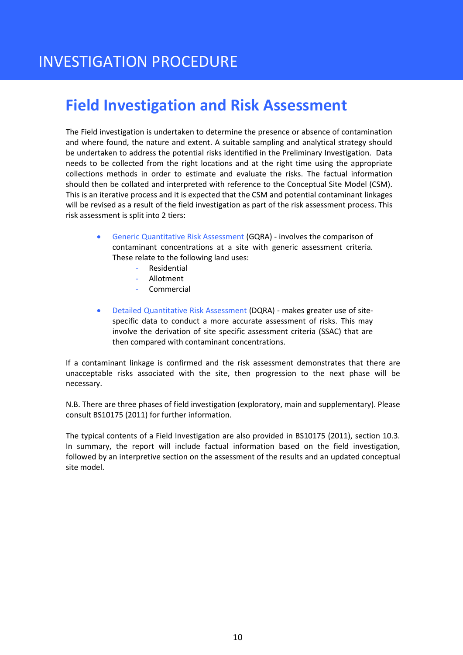# <span id="page-11-0"></span>**Field Investigation and Risk Assessment**

The Field investigation is undertaken to determine the presence or absence of contamination and where found, the nature and extent. A suitable sampling and analytical strategy should be undertaken to address the potential risks identified in the Preliminary Investigation. Data needs to be collected from the right locations and at the right time using the appropriate collections methods in order to estimate and evaluate the risks. The factual information should then be collated and interpreted with reference to the Conceptual Site Model (CSM). This is an iterative process and it is expected that the CSM and potential contaminant linkages will be revised as a result of the field investigation as part of the risk assessment process. This risk assessment is split into 2 tiers:

- Generic Quantitative Risk Assessment (GQRA) involves the comparison of contaminant concentrations at a site with generic assessment criteria. These relate to the following land uses:
	- **Residential**
	- Allotment
	- **Commercial**
- Detailed Quantitative Risk Assessment (DQRA) makes greater use of sitespecific data to conduct a more accurate assessment of risks. This may involve the derivation of site specific assessment criteria (SSAC) that are then compared with contaminant concentrations.

If a contaminant linkage is confirmed and the risk assessment demonstrates that there are unacceptable risks associated with the site, then progression to the next phase will be necessary.

N.B. There are three phases of field investigation (exploratory, main and supplementary). Please consult BS10175 (2011) for further information.

The typical contents of a Field Investigation are also provided in BS10175 (2011), section 10.3. In summary, the report will include factual information based on the field investigation, followed by an interpretive section on the assessment of the results and an updated conceptual site model.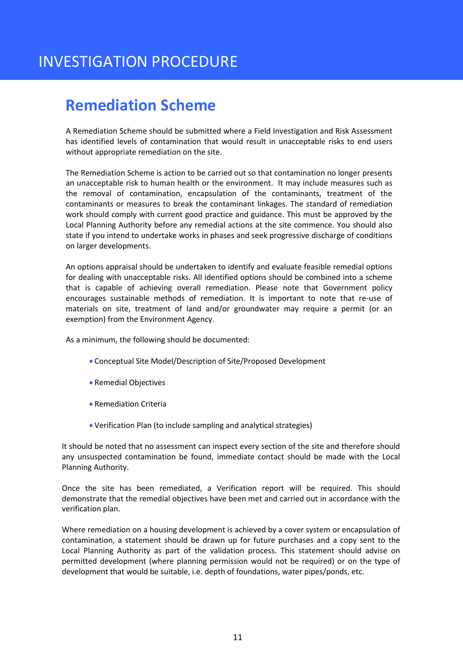# <span id="page-12-0"></span>**Remediation Scheme**

A Remediation Scheme should be submitted where a Field Investigation and Risk Assessment has identified levels of contamination that would result in unacceptable risks to end users without appropriate remediation on the site.

The Remediation Scheme is action to be carried out so that contamination no longer presents an unacceptable risk to human health or the environment. It may include measures such as the removal of contamination, encapsulation of the contaminants, treatment of the contaminants or measures to break the contaminant linkages. The standard of remediation work should comply with current good practice and guidance. This must be approved by the Local Planning Authority before any remedial actions at the site commence. You should also state if you intend to undertake works in phases and seek progressive discharge of conditions on larger developments.

An options appraisal should be undertaken to identify and evaluate feasible remedial options for dealing with unacceptable risks. All identified options should be combined into a scheme that is capable of achieving overall remediation. Please note that Government policy encourages sustainable methods of remediation. It is important to note that re-use of materials on site, treatment of land and/or groundwater may require a permit (or an exemption) from the Environment Agency.

As a minimum, the following should be documented:

- Conceptual Site Model/Description of Site/Proposed Development
- Remedial Objectives
- Remediation Criteria
- Verification Plan (to include sampling and analytical strategies)

It should be noted that no assessment can inspect every section of the site and therefore should any unsuspected contamination be found, immediate contact should be made with the Local Planning Authority.

Once the site has been remediated, a Verification report will be required. This should demonstrate that the remedial objectives have been met and carried out in accordance with the verification plan.

Where remediation on a housing development is achieved by a cover system or encapsulation of contamination, a statement should be drawn up for future purchases and a copy sent to the Local Planning Authority as part of the validation process. This statement should advise on permitted development (where planning permission would not be required) or on the type of development that would be suitable, i.e. depth of foundations, water pipes/ponds, etc.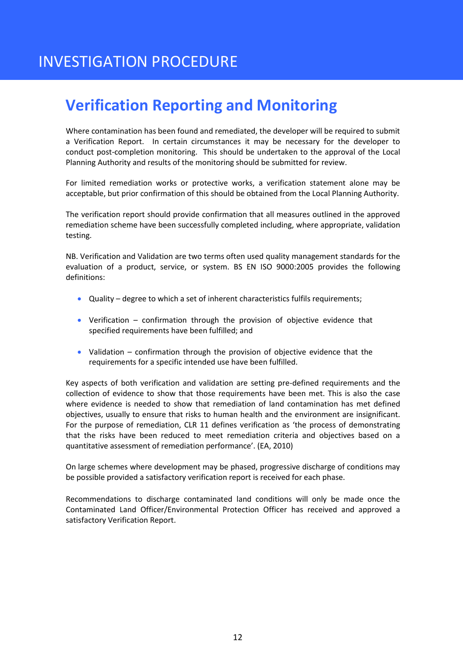# **Verification Reporting and Monitoring**

Where contamination has been found and remediated, the developer will be required to submit a Verification Report. In certain circumstances it may be necessary for the developer to conduct post-completion monitoring. This should be undertaken to the approval of the Local Planning Authority and results of the monitoring should be submitted for review.

For limited remediation works or protective works, a verification statement alone may be acceptable, but prior confirmation of this should be obtained from the Local Planning Authority.

The verification report should provide confirmation that all measures outlined in the approved remediation scheme have been successfully completed including, where appropriate, validation testing.

NB. Verification and Validation are two terms often used quality management standards for the evaluation of a product, service, or system. BS EN ISO 9000:2005 provides the following definitions:

- Quality degree to which a set of inherent characteristics fulfils requirements;
- Verification confirmation through the provision of objective evidence that specified requirements have been fulfilled; and
- Validation confirmation through the provision of objective evidence that the requirements for a specific intended use have been fulfilled.

Key aspects of both verification and validation are setting pre-defined requirements and the collection of evidence to show that those requirements have been met. This is also the case where evidence is needed to show that remediation of land contamination has met defined objectives, usually to ensure that risks to human health and the environment are insignificant. For the purpose of remediation, CLR 11 defines verification as 'the process of demonstrating that the risks have been reduced to meet remediation criteria and objectives based on a quantitative assessment of remediation performance'. (EA, 2010)

On large schemes where development may be phased, progressive discharge of conditions may be possible provided a satisfactory verification report is received for each phase.

Recommendations to discharge contaminated land conditions will only be made once the Contaminated Land Officer/Environmental Protection Officer has received and approved a satisfactory Verification Report.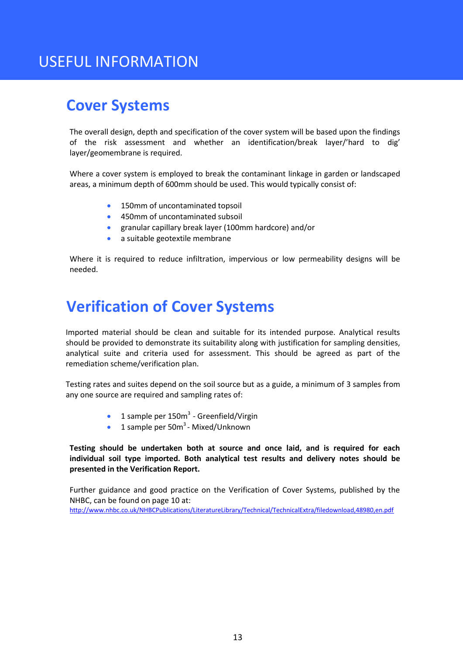# USEFUL INFORMATION

### **Cover Systems**

The overall design, depth and specification of the cover system will be based upon the findings of the risk assessment and whether an identification/break layer/'hard to dig' layer/geomembrane is required.

Where a cover system is employed to break the contaminant linkage in garden or landscaped areas, a minimum depth of 600mm should be used. This would typically consist of:

- **150mm of uncontaminated topsoil**
- 450mm of uncontaminated subsoil
- granular capillary break layer (100mm hardcore) and/or
- a suitable geotextile membrane

Where it is required to reduce infiltration, impervious or low permeability designs will be needed.

# **Verification of Cover Systems**

Imported material should be clean and suitable for its intended purpose. Analytical results should be provided to demonstrate its suitability along with justification for sampling densities, analytical suite and criteria used for assessment. This should be agreed as part of the remediation scheme/verification plan.

Testing rates and suites depend on the soil source but as a guide, a minimum of 3 samples from any one source are required and sampling rates of:

- **1** sample per  $150m^3$  Greenfield/Virgin
- $\bullet$  1 sample per 50 $m^3$  Mixed/Unknown

**Testing should be undertaken both at source and once laid, and is required for each individual soil type imported. Both analytical test results and delivery notes should be presented in the Verification Report.** 

Further guidance and good practice on the Verification of Cover Systems, published by the NHBC, can be found on page 10 at:

<http://www.nhbc.co.uk/NHBCPublications/LiteratureLibrary/Technical/TechnicalExtra/filedownload,48980,en.pdf>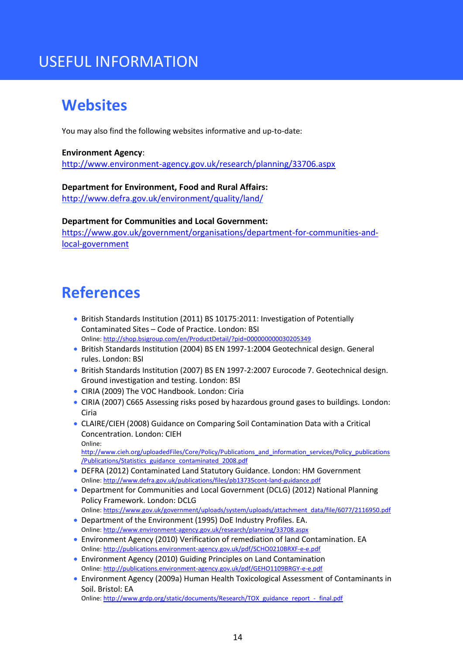# USEFUL INFORMATION

# <span id="page-15-0"></span>**Websites**

You may also find the following websites informative and up-to-date:

#### **[Environment Agency](http://www.environment-agency.gov.uk/research/planning/33706.aspx)**:

<http://www.environment-agency.gov.uk/research/planning/33706.aspx>

#### **[Department for Environment, Food and Rural Affairs:](http://www.defra.gov.uk/environment/quality/land/)**

<http://www.defra.gov.uk/environment/quality/land/>

#### **[Department for Communities and Local Government:](http://www.communities.gov.uk/planningandbuilding/planningsystem/planningpolicy/)**

[https://www.gov.uk/government/organisations/department-for-communities-and](https://www.gov.uk/government/organisations/department-for-communities-and-local-government)[local-government](https://www.gov.uk/government/organisations/department-for-communities-and-local-government)

### **References**

- British Standards Institution (2011) BS 10175:2011: Investigation of Potentially Contaminated Sites – Code of Practice. London: BSI Online:<http://shop.bsigroup.com/en/ProductDetail/?pid=000000000030205349>
- British Standards Institution (2004) BS EN 1997-1:2004 Geotechnical design. General rules. London: BSI
- British Standards Institution (2007) BS EN 1997-2:2007 Eurocode 7. Geotechnical design. Ground investigation and testing. London: BSI
- CIRIA (2009) The VOC Handbook. London: Ciria
- CIRIA (2007) C665 Assessing risks posed by hazardous ground gases to buildings. London: Ciria
- CLAIRE/CIEH (2008) Guidance on Comparing Soil Contamination Data with a Critical Concentration. London: CIEH Online:

[http://www.cieh.org/uploadedFiles/Core/Policy/Publications\\_and\\_information\\_services/Policy\\_publications](http://www.cieh.org/uploadedFiles/Core/Policy/Publications_and_information_services/Policy_publications/Publications/Statistics_guidance_contaminated_2008.pdf) [/Publications/Statistics\\_guidance\\_contaminated\\_2008.pdf](http://www.cieh.org/uploadedFiles/Core/Policy/Publications_and_information_services/Policy_publications/Publications/Statistics_guidance_contaminated_2008.pdf) 

- DEFRA (2012) Contaminated Land Statutory Guidance. London: HM Government Online:<http://www.defra.gov.uk/publications/files/pb13735cont-land-guidance.pdf>
- Department for Communities and Local Government (DCLG) (2012) National Planning Policy Framework. London: DCLG
- Online: [https://www.gov.uk/government/uploads/system/uploads/attachment\\_data/file/6077/2116950.pdf](https://www.gov.uk/government/uploads/system/uploads/attachment_data/file/6077/2116950.pdf) Department of the Environment (1995) DoE Industry Profiles. EA. Online:<http://www.environment-agency.gov.uk/research/planning/33708.aspx>
- Environment Agency (2010) Verification of remediation of land Contamination. EA Online:<http://publications.environment-agency.gov.uk/pdf/SCHO0210BRXF-e-e.pdf>
- Environment Agency (2010) Guiding Principles on Land Contamination Online:<http://publications.environment-agency.gov.uk/pdf/GEHO1109BRGY-e-e.pdf>
- Environment Agency (2009a) Human Health Toxicological Assessment of Contaminants in Soil. Bristol: EA

Online: [http://www.grdp.org/static/documents/Research/TOX\\_guidance\\_report\\_-\\_final.pdf](http://www.grdp.org/static/documents/Research/TOX_guidance_report_-_final.pdf)